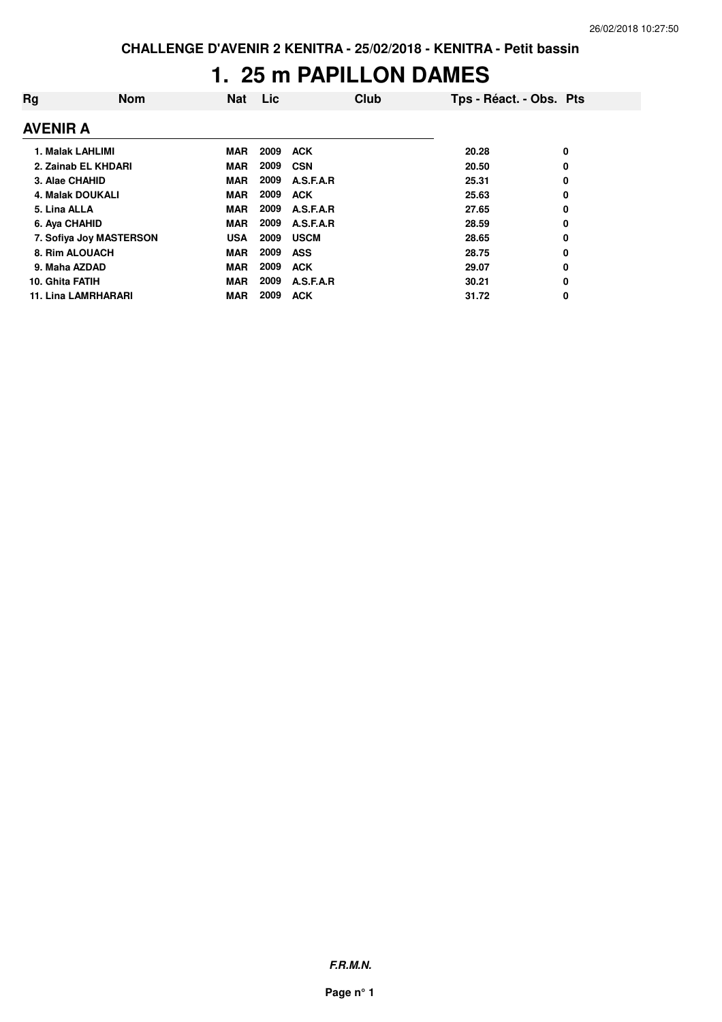### **1. 25 m PAPILLON DAMES**

| Rg                      | <b>Nom</b>                 | Nat        | Lic  | Club        | Tps - Réact. - Obs. Pts |   |
|-------------------------|----------------------------|------------|------|-------------|-------------------------|---|
| AVENIR A                |                            |            |      |             |                         |   |
| 1. Malak LAHLIMI        |                            | <b>MAR</b> | 2009 | <b>ACK</b>  | 20.28                   | 0 |
|                         | 2. Zainab EL KHDARI        | <b>MAR</b> | 2009 | <b>CSN</b>  | 20.50                   | 0 |
| 3. Alae CHAHID          |                            | <b>MAR</b> | 2009 | A.S.F.A.R   | 25.31                   | 0 |
| <b>4. Malak DOUKALI</b> |                            | <b>MAR</b> | 2009 | <b>ACK</b>  | 25.63                   | 0 |
| 5. Lina ALLA            |                            | <b>MAR</b> | 2009 | A.S.F.A.R   | 27.65                   | 0 |
| 6. Aya CHAHID           |                            | <b>MAR</b> | 2009 | A.S.F.A.R   | 28.59                   | 0 |
|                         | 7. Sofiya Joy MASTERSON    | <b>USA</b> | 2009 | <b>USCM</b> | 28.65                   | 0 |
| 8. Rim ALOUACH          |                            | <b>MAR</b> | 2009 | ASS         | 28.75                   | 0 |
| 9. Maha AZDAD           |                            | <b>MAR</b> | 2009 | <b>ACK</b>  | 29.07                   | 0 |
| 10. Ghita FATIH         |                            | <b>MAR</b> | 2009 | A.S.F.A.R   | 30.21                   | 0 |
|                         | <b>11. Lina LAMRHARARI</b> | <b>MAR</b> | 2009 | <b>ACK</b>  | 31.72                   | 0 |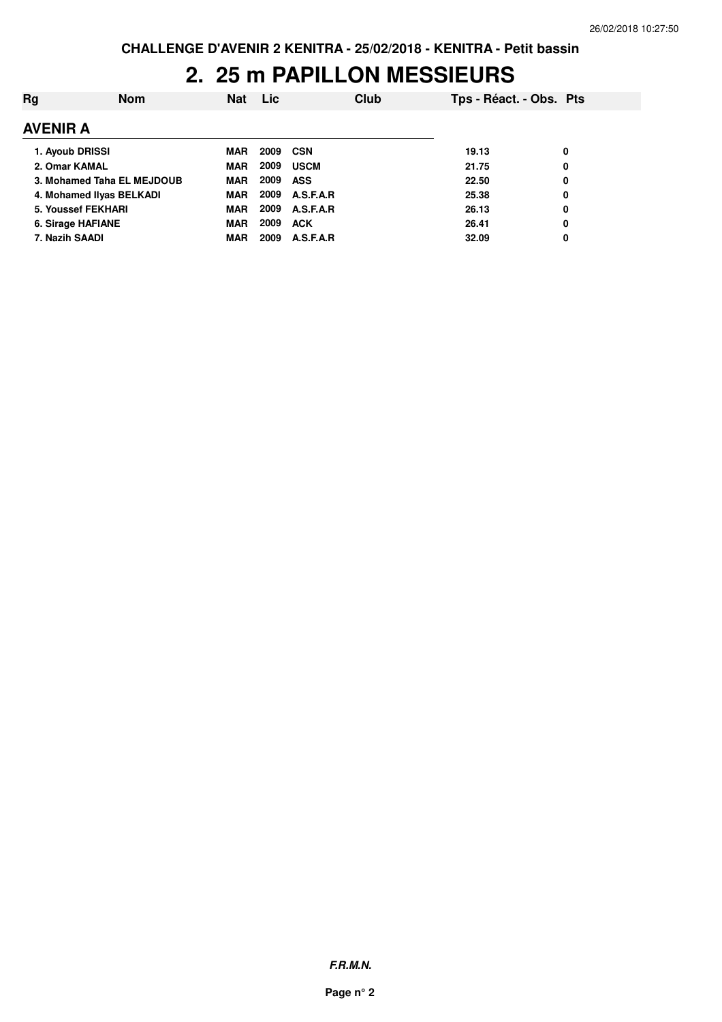### **2. 25 m PAPILLON MESSIEURS**

| Ra                         | <b>Nom</b> | <b>Nat</b> | <b>Lic</b> |             | Club | Tps - Réact. - Obs. Pts |   |
|----------------------------|------------|------------|------------|-------------|------|-------------------------|---|
| <b>AVENIR A</b>            |            |            |            |             |      |                         |   |
| 1. Ayoub DRISSI            |            | MAR        | 2009       | CSN         |      | 19.13                   | 0 |
| 2. Omar KAMAL              |            | <b>MAR</b> | 2009       | <b>USCM</b> |      | 21.75                   | 0 |
| 3. Mohamed Taha EL MEJDOUB |            | <b>MAR</b> | 2009       | ASS         |      | 22.50                   | 0 |
| 4. Mohamed Ilyas BELKADI   |            | <b>MAR</b> | 2009       | A.S.F.A.R   |      | 25.38                   | 0 |
| 5. Youssef FEKHARI         |            | <b>MAR</b> | 2009       | A.S.F.A.R   |      | 26.13                   | 0 |
| 6. Sirage HAFIANE          |            | <b>MAR</b> | 2009       | <b>ACK</b>  |      | 26.41                   | 0 |
| 7. Nazih SAADI             |            | MAR        | 2009       | A.S.F.A.R   |      | 32.09                   | 0 |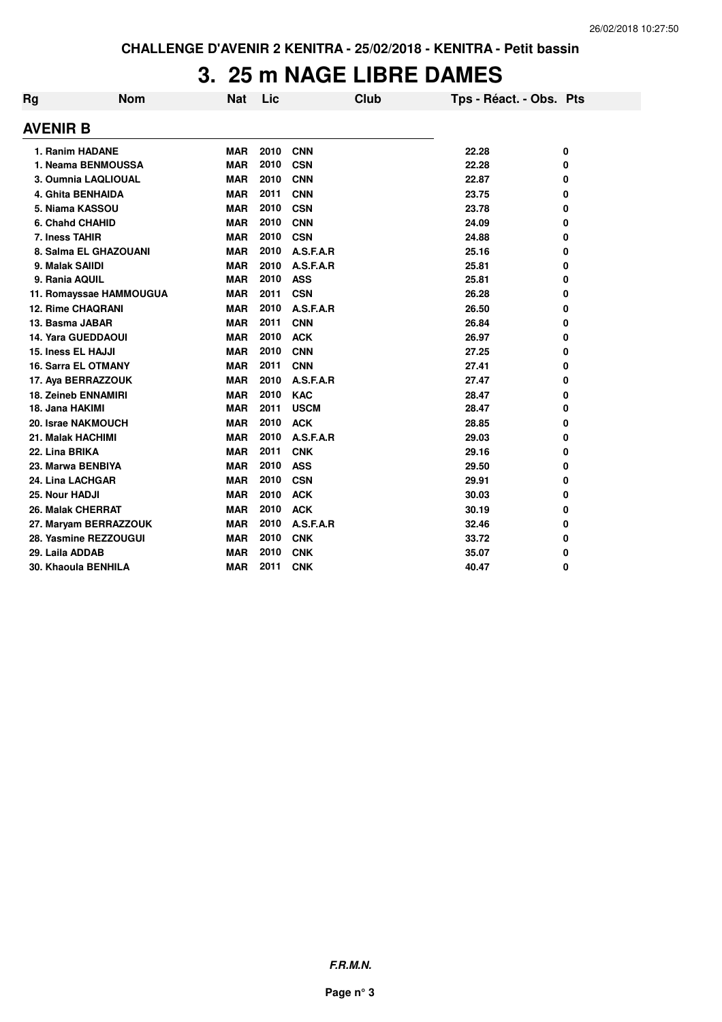### **3. 25 m NAGE LIBRE DAMES**

| Rg              | <b>Nom</b>                 | <b>Nat</b> | Lic  | Club        | Tps - Réact. - Obs. Pts |   |
|-----------------|----------------------------|------------|------|-------------|-------------------------|---|
| <b>AVENIR B</b> |                            |            |      |             |                         |   |
|                 | 1. Ranim HADANE            | <b>MAR</b> | 2010 | <b>CNN</b>  | 22.28                   | 0 |
|                 | 1. Neama BENMOUSSA         | <b>MAR</b> | 2010 | <b>CSN</b>  | 22.28                   | 0 |
|                 | 3. Oumnia LAQLIOUAL        | <b>MAR</b> | 2010 | <b>CNN</b>  | 22.87                   | 0 |
|                 | <b>4. Ghita BENHAIDA</b>   | <b>MAR</b> | 2011 | <b>CNN</b>  | 23.75                   | 0 |
|                 | 5. Niama KASSOU            | <b>MAR</b> | 2010 | <b>CSN</b>  | 23.78                   | 0 |
|                 | 6. Chahd CHAHID            | <b>MAR</b> | 2010 | <b>CNN</b>  | 24.09                   | 0 |
| 7. Iness TAHIR  |                            | <b>MAR</b> | 2010 | <b>CSN</b>  | 24.88                   | 0 |
|                 | 8. Salma EL GHAZOUANI      | <b>MAR</b> | 2010 | A.S.F.A.R   | 25.16                   | 0 |
| 9. Malak SAIIDI |                            | <b>MAR</b> | 2010 | A.S.F.A.R   | 25.81                   | 0 |
| 9. Rania AQUIL  |                            | <b>MAR</b> | 2010 | <b>ASS</b>  | 25.81                   | 0 |
|                 | 11. Romayssae HAMMOUGUA    | <b>MAR</b> | 2011 | <b>CSN</b>  | 26.28                   | 0 |
|                 | <b>12. Rime CHAQRANI</b>   | <b>MAR</b> | 2010 | A.S.F.A.R   | 26.50                   | 0 |
| 13. Basma JABAR |                            | <b>MAR</b> | 2011 | <b>CNN</b>  | 26.84                   | 0 |
|                 | <b>14. Yara GUEDDAOUI</b>  | <b>MAR</b> | 2010 | <b>ACK</b>  | 26.97                   | 0 |
|                 | 15. Iness EL HAJJI         | <b>MAR</b> | 2010 | <b>CNN</b>  | 27.25                   | 0 |
|                 | <b>16. Sarra EL OTMANY</b> | <b>MAR</b> | 2011 | <b>CNN</b>  | 27.41                   | 0 |
|                 | 17. Aya BERRAZZOUK         | <b>MAR</b> | 2010 | A.S.F.A.R   | 27.47                   | 0 |
|                 | <b>18. Zeineb ENNAMIRI</b> | <b>MAR</b> | 2010 | <b>KAC</b>  | 28.47                   | 0 |
| 18. Jana HAKIMI |                            | <b>MAR</b> | 2011 | <b>USCM</b> | 28.47                   | 0 |
|                 | 20. Israe NAKMOUCH         | <b>MAR</b> | 2010 | <b>ACK</b>  | 28.85                   | 0 |
|                 | 21. Malak HACHIMI          | <b>MAR</b> | 2010 | A.S.F.A.R   | 29.03                   | 0 |
| 22. Lina BRIKA  |                            | <b>MAR</b> | 2011 | <b>CNK</b>  | 29.16                   | 0 |
|                 | 23. Marwa BENBIYA          | <b>MAR</b> | 2010 | <b>ASS</b>  | 29.50                   | 0 |
|                 | 24. Lina LACHGAR           | <b>MAR</b> | 2010 | <b>CSN</b>  | 29.91                   | 0 |
| 25. Nour HADJI  |                            | <b>MAR</b> | 2010 | <b>ACK</b>  | 30.03                   | 0 |
|                 | <b>26. Malak CHERRAT</b>   | <b>MAR</b> | 2010 | <b>ACK</b>  | 30.19                   | 0 |
|                 | 27. Maryam BERRAZZOUK      | <b>MAR</b> | 2010 | A.S.F.A.R   | 32.46                   | 0 |
|                 | 28. Yasmine REZZOUGUI      | <b>MAR</b> | 2010 | <b>CNK</b>  | 33.72                   | 0 |
| 29. Laila ADDAB |                            | <b>MAR</b> | 2010 | <b>CNK</b>  | 35.07                   | 0 |
|                 | 30. Khaoula BENHILA        | <b>MAR</b> | 2011 | <b>CNK</b>  | 40.47                   | 0 |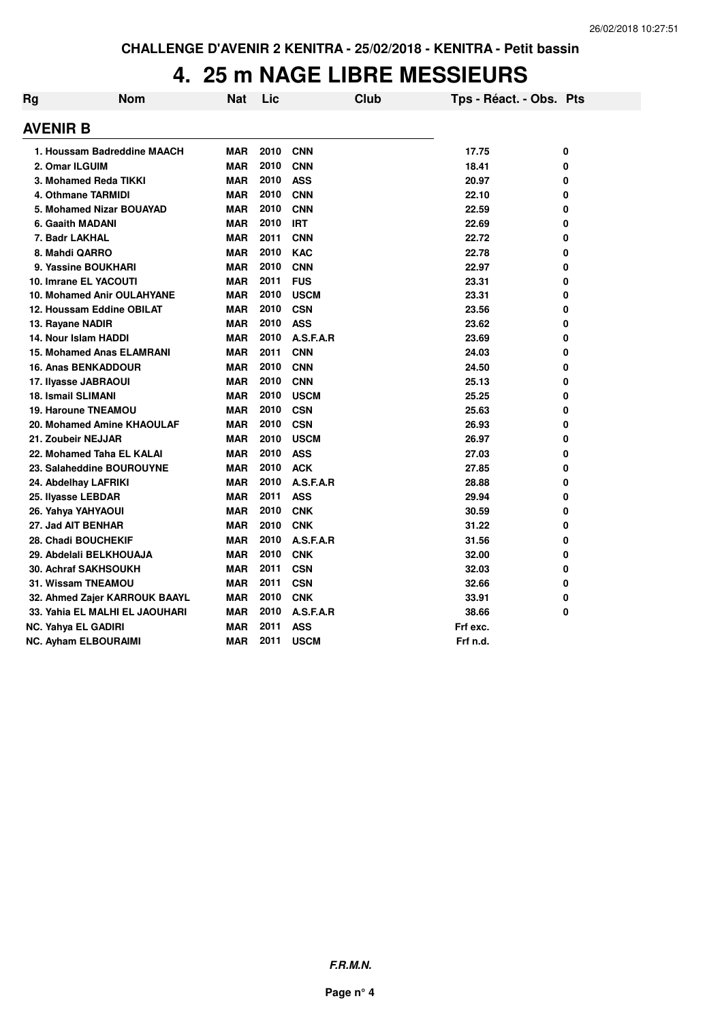# **4. 25 m NAGE LIBRE MESSIEURS**

| Rg              | <b>Nom</b>                        | Nat        | Lic  | Club        | Tps - Réact. - Obs. Pts |   |
|-----------------|-----------------------------------|------------|------|-------------|-------------------------|---|
| <b>AVENIR B</b> |                                   |            |      |             |                         |   |
|                 | 1. Houssam Badreddine MAACH       | <b>MAR</b> | 2010 | <b>CNN</b>  | 17.75                   | 0 |
|                 | 2. Omar ILGUIM                    | <b>MAR</b> | 2010 | <b>CNN</b>  | 18.41                   | 0 |
|                 | 3. Mohamed Reda TIKKI             | <b>MAR</b> | 2010 | <b>ASS</b>  | 20.97                   | 0 |
|                 | 4. Othmane TARMIDI                | <b>MAR</b> | 2010 | <b>CNN</b>  | 22.10                   | 0 |
|                 | 5. Mohamed Nizar BOUAYAD          | <b>MAR</b> | 2010 | <b>CNN</b>  | 22.59                   | 0 |
|                 | 6. Gaaith MADANI                  | <b>MAR</b> | 2010 | <b>IRT</b>  | 22.69                   | 0 |
|                 | 7. Badr LAKHAL                    | <b>MAR</b> | 2011 | <b>CNN</b>  | 22.72                   | 0 |
|                 | 8. Mahdi QARRO                    | <b>MAR</b> | 2010 | <b>KAC</b>  | 22.78                   | 0 |
|                 | 9. Yassine BOUKHARI               | <b>MAR</b> | 2010 | <b>CNN</b>  | 22.97                   | 0 |
|                 | 10. Imrane EL YACOUTI             | <b>MAR</b> | 2011 | <b>FUS</b>  | 23.31                   | 0 |
|                 | <b>10. Mohamed Anir OULAHYANE</b> | <b>MAR</b> | 2010 | <b>USCM</b> | 23.31                   | 0 |
|                 | 12. Houssam Eddine OBILAT         | <b>MAR</b> | 2010 | <b>CSN</b>  | 23.56                   | 0 |
|                 | 13. Rayane NADIR                  | <b>MAR</b> | 2010 | <b>ASS</b>  | 23.62                   | 0 |
|                 | 14. Nour Islam HADDI              | <b>MAR</b> | 2010 | A.S.F.A.R   | 23.69                   | 0 |
|                 | <b>15. Mohamed Anas ELAMRANI</b>  | <b>MAR</b> | 2011 | <b>CNN</b>  | 24.03                   | 0 |
|                 | <b>16. Anas BENKADDOUR</b>        | <b>MAR</b> | 2010 | <b>CNN</b>  | 24.50                   | 0 |
|                 | 17. Ilyasse JABRAOUI              | <b>MAR</b> | 2010 | <b>CNN</b>  | 25.13                   | 0 |
|                 | <b>18. Ismail SLIMANI</b>         | <b>MAR</b> | 2010 | <b>USCM</b> | 25.25                   | 0 |
|                 | <b>19. Haroune TNEAMOU</b>        | <b>MAR</b> | 2010 | <b>CSN</b>  | 25.63                   | 0 |
|                 | 20. Mohamed Amine KHAOULAF        | <b>MAR</b> | 2010 | <b>CSN</b>  | 26.93                   | 0 |
|                 | 21. Zoubeir NEJJAR                | <b>MAR</b> | 2010 | <b>USCM</b> | 26.97                   | 0 |
|                 | 22. Mohamed Taha EL KALAI         | <b>MAR</b> | 2010 | <b>ASS</b>  | 27.03                   | 0 |
|                 | 23. Salaheddine BOUROUYNE         | <b>MAR</b> | 2010 | <b>ACK</b>  | 27.85                   | 0 |
|                 | 24. Abdelhay LAFRIKI              | <b>MAR</b> | 2010 | A.S.F.A.R   | 28.88                   | 0 |
|                 | 25. Ilyasse LEBDAR                | <b>MAR</b> | 2011 | <b>ASS</b>  | 29.94                   | 0 |
|                 | 26. Yahya YAHYAOUI                | <b>MAR</b> | 2010 | <b>CNK</b>  | 30.59                   | 0 |
|                 | 27. Jad AIT BENHAR                | <b>MAR</b> | 2010 | <b>CNK</b>  | 31.22                   | 0 |
|                 | 28. Chadi BOUCHEKIF               | <b>MAR</b> | 2010 | A.S.F.A.R   | 31.56                   | 0 |
|                 | 29. Abdelali BELKHOUAJA           | <b>MAR</b> | 2010 | <b>CNK</b>  | 32.00                   | 0 |
|                 | 30. Achraf SAKHSOUKH              | <b>MAR</b> | 2011 | <b>CSN</b>  | 32.03                   | 0 |
|                 | 31. Wissam TNEAMOU                | <b>MAR</b> | 2011 | <b>CSN</b>  | 32.66                   | 0 |
|                 | 32. Ahmed Zajer KARROUK BAAYL     | <b>MAR</b> | 2010 | <b>CNK</b>  | 33.91                   | 0 |
|                 | 33. Yahia EL MALHI EL JAOUHARI    | <b>MAR</b> | 2010 | A.S.F.A.R   | 38.66                   | 0 |
|                 | NC. Yahya EL GADIRI               | <b>MAR</b> | 2011 | <b>ASS</b>  | Frf exc.                |   |
|                 | <b>NC. Ayham ELBOURAIMI</b>       | <b>MAR</b> | 2011 | <b>USCM</b> | Frf n.d.                |   |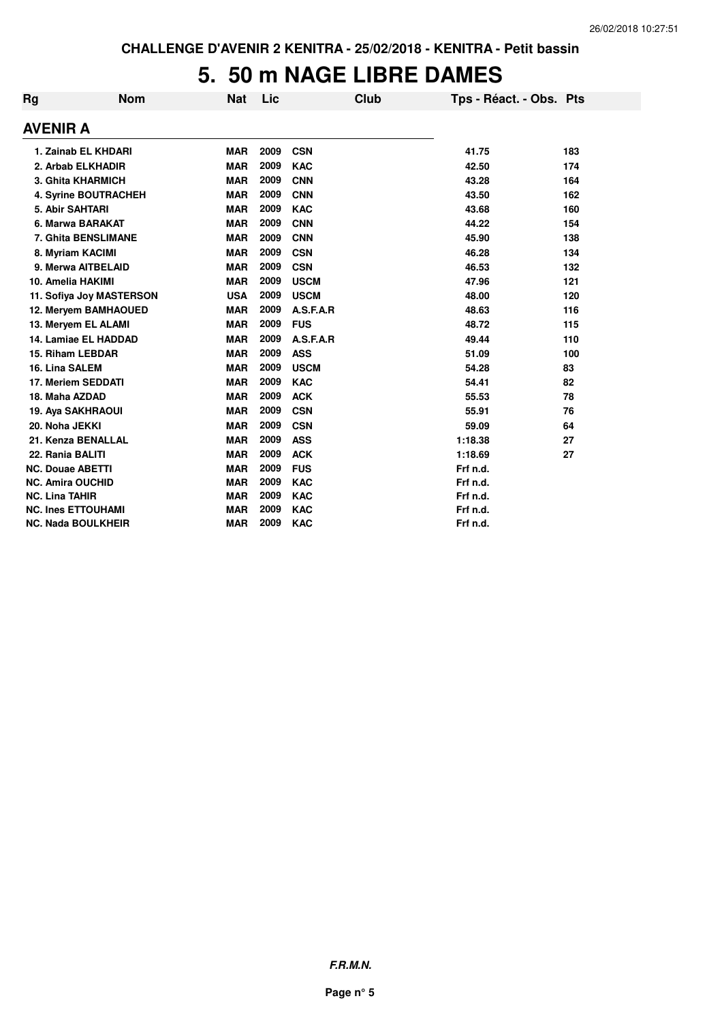### **5. 50 m NAGE LIBRE DAMES**

| Rg | <b>Nom</b>                | <b>Nat</b> | Lic  | Club        | Tps - Réact. - Obs. Pts |     |
|----|---------------------------|------------|------|-------------|-------------------------|-----|
|    | <b>AVENIR A</b>           |            |      |             |                         |     |
|    | 1. Zainab EL KHDARI       | <b>MAR</b> | 2009 | <b>CSN</b>  | 41.75                   | 183 |
|    | 2. Arbab ELKHADIR         | <b>MAR</b> | 2009 | <b>KAC</b>  | 42.50                   | 174 |
|    | <b>3. Ghita KHARMICH</b>  | <b>MAR</b> | 2009 | <b>CNN</b>  | 43.28                   | 164 |
|    | 4. Syrine BOUTRACHEH      | <b>MAR</b> | 2009 | <b>CNN</b>  | 43.50                   | 162 |
|    | 5. Abir SAHTARI           | <b>MAR</b> | 2009 | <b>KAC</b>  | 43.68                   | 160 |
|    | 6. Marwa BARAKAT          | <b>MAR</b> | 2009 | <b>CNN</b>  | 44.22                   | 154 |
|    | 7. Ghita BENSLIMANE       | <b>MAR</b> | 2009 | <b>CNN</b>  | 45.90                   | 138 |
|    | 8. Myriam KACIMI          | <b>MAR</b> | 2009 | <b>CSN</b>  | 46.28                   | 134 |
|    | 9. Merwa AITBELAID        | <b>MAR</b> | 2009 | <b>CSN</b>  | 46.53                   | 132 |
|    | 10. Amelia HAKIMI         | <b>MAR</b> | 2009 | <b>USCM</b> | 47.96                   | 121 |
|    | 11. Sofiya Joy MASTERSON  | <b>USA</b> | 2009 | <b>USCM</b> | 48.00                   | 120 |
|    | 12. Meryem BAMHAOUED      | <b>MAR</b> | 2009 | A.S.F.A.R   | 48.63                   | 116 |
|    | 13. Meryem EL ALAMI       | <b>MAR</b> | 2009 | <b>FUS</b>  | 48.72                   | 115 |
|    | 14. Lamiae EL HADDAD      | <b>MAR</b> | 2009 | A.S.F.A.R   | 49.44                   | 110 |
|    | 15. Riham LEBDAR          | <b>MAR</b> | 2009 | <b>ASS</b>  | 51.09                   | 100 |
|    | 16. Lina SALEM            | <b>MAR</b> | 2009 | <b>USCM</b> | 54.28                   | 83  |
|    | 17. Meriem SEDDATI        | <b>MAR</b> | 2009 | <b>KAC</b>  | 54.41                   | 82  |
|    | 18. Maha AZDAD            | <b>MAR</b> | 2009 | <b>ACK</b>  | 55.53                   | 78  |
|    | 19. Aya SAKHRAOUI         | <b>MAR</b> | 2009 | <b>CSN</b>  | 55.91                   | 76  |
|    | 20. Noha JEKKI            | <b>MAR</b> | 2009 | <b>CSN</b>  | 59.09                   | 64  |
|    | 21. Kenza BENALLAL        | <b>MAR</b> | 2009 | <b>ASS</b>  | 1:18.38                 | 27  |
|    | 22. Rania BALITI          | <b>MAR</b> | 2009 | <b>ACK</b>  | 1:18.69                 | 27  |
|    | <b>NC. Douae ABETTI</b>   | <b>MAR</b> | 2009 | <b>FUS</b>  | Frf n.d.                |     |
|    | <b>NC. Amira OUCHID</b>   | <b>MAR</b> | 2009 | <b>KAC</b>  | Frf n.d.                |     |
|    | <b>NC. Lina TAHIR</b>     | <b>MAR</b> | 2009 | <b>KAC</b>  | Frf n.d.                |     |
|    | <b>NC. Ines ETTOUHAMI</b> | <b>MAR</b> | 2009 | <b>KAC</b>  | Frf n.d.                |     |
|    | <b>NC. Nada BOULKHEIR</b> | <b>MAR</b> | 2009 | <b>KAC</b>  | Frf n.d.                |     |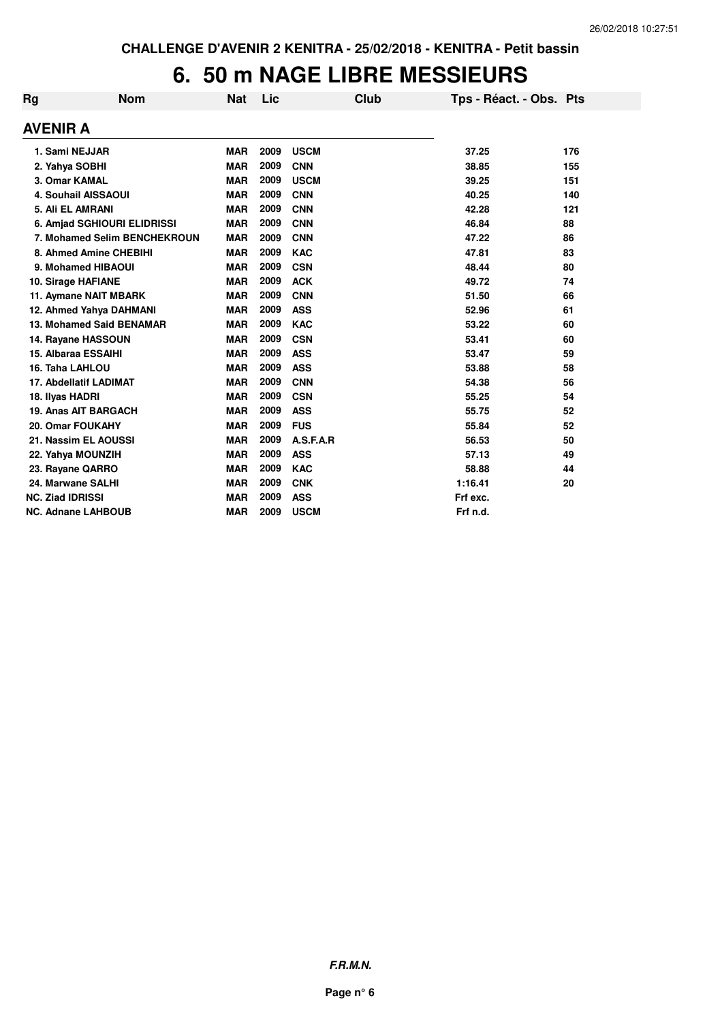### **6. 50 m NAGE LIBRE MESSIEURS**

| Rg       | <b>Nom</b>                   | <b>Nat</b> | Lic  | Club        | Tps - Réact. - Obs. Pts |     |
|----------|------------------------------|------------|------|-------------|-------------------------|-----|
| AVENIR A |                              |            |      |             |                         |     |
|          | 1. Sami NEJJAR               | <b>MAR</b> | 2009 | <b>USCM</b> | 37.25                   | 176 |
|          | 2. Yahya SOBHI               | <b>MAR</b> | 2009 | <b>CNN</b>  | 38.85                   | 155 |
|          | 3. Omar KAMAL                | <b>MAR</b> | 2009 | <b>USCM</b> | 39.25                   | 151 |
|          | <b>4. Souhail AISSAOUI</b>   | <b>MAR</b> | 2009 | <b>CNN</b>  | 40.25                   | 140 |
|          | 5. Ali EL AMRANI             | <b>MAR</b> | 2009 | <b>CNN</b>  | 42.28                   | 121 |
|          | 6. Amjad SGHIOURI ELIDRISSI  | <b>MAR</b> | 2009 | <b>CNN</b>  | 46.84                   | 88  |
|          | 7. Mohamed Selim BENCHEKROUN | <b>MAR</b> | 2009 | <b>CNN</b>  | 47.22                   | 86  |
|          | 8. Ahmed Amine CHEBIHI       | <b>MAR</b> | 2009 | <b>KAC</b>  | 47.81                   | 83  |
|          | 9. Mohamed HIBAOUI           | <b>MAR</b> | 2009 | <b>CSN</b>  | 48.44                   | 80  |
|          | 10. Sirage HAFIANE           | <b>MAR</b> | 2009 | <b>ACK</b>  | 49.72                   | 74  |
|          | 11. Aymane NAIT MBARK        | <b>MAR</b> | 2009 | <b>CNN</b>  | 51.50                   | 66  |
|          | 12. Ahmed Yahya DAHMANI      | <b>MAR</b> | 2009 | <b>ASS</b>  | 52.96                   | 61  |
|          | 13. Mohamed Said BENAMAR     | <b>MAR</b> | 2009 | <b>KAC</b>  | 53.22                   | 60  |
|          | 14. Rayane HASSOUN           | <b>MAR</b> | 2009 | <b>CSN</b>  | 53.41                   | 60  |
|          | 15. Albaraa ESSAIHI          | <b>MAR</b> | 2009 | <b>ASS</b>  | 53.47                   | 59  |
|          | 16. Taha LAHLOU              | <b>MAR</b> | 2009 | <b>ASS</b>  | 53.88                   | 58  |
|          | 17. Abdellatif LADIMAT       | <b>MAR</b> | 2009 | <b>CNN</b>  | 54.38                   | 56  |
|          | 18. Ilyas HADRI              | <b>MAR</b> | 2009 | <b>CSN</b>  | 55.25                   | 54  |
|          | <b>19. Anas AIT BARGACH</b>  | <b>MAR</b> | 2009 | <b>ASS</b>  | 55.75                   | 52  |
|          | 20. Omar FOUKAHY             | <b>MAR</b> | 2009 | <b>FUS</b>  | 55.84                   | 52  |
|          | 21. Nassim EL AOUSSI         | <b>MAR</b> | 2009 | A.S.F.A.R   | 56.53                   | 50  |
|          | 22. Yahya MOUNZIH            | <b>MAR</b> | 2009 | <b>ASS</b>  | 57.13                   | 49  |
|          | 23. Rayane QARRO             | <b>MAR</b> | 2009 | <b>KAC</b>  | 58.88                   | 44  |
|          | 24. Marwane SALHI            | <b>MAR</b> | 2009 | <b>CNK</b>  | 1:16.41                 | 20  |
|          | <b>NC. Ziad IDRISSI</b>      | <b>MAR</b> | 2009 | <b>ASS</b>  | Frf exc.                |     |
|          | <b>NC. Adnane LAHBOUB</b>    | <b>MAR</b> | 2009 | <b>USCM</b> | Frf n.d.                |     |
|          |                              |            |      |             |                         |     |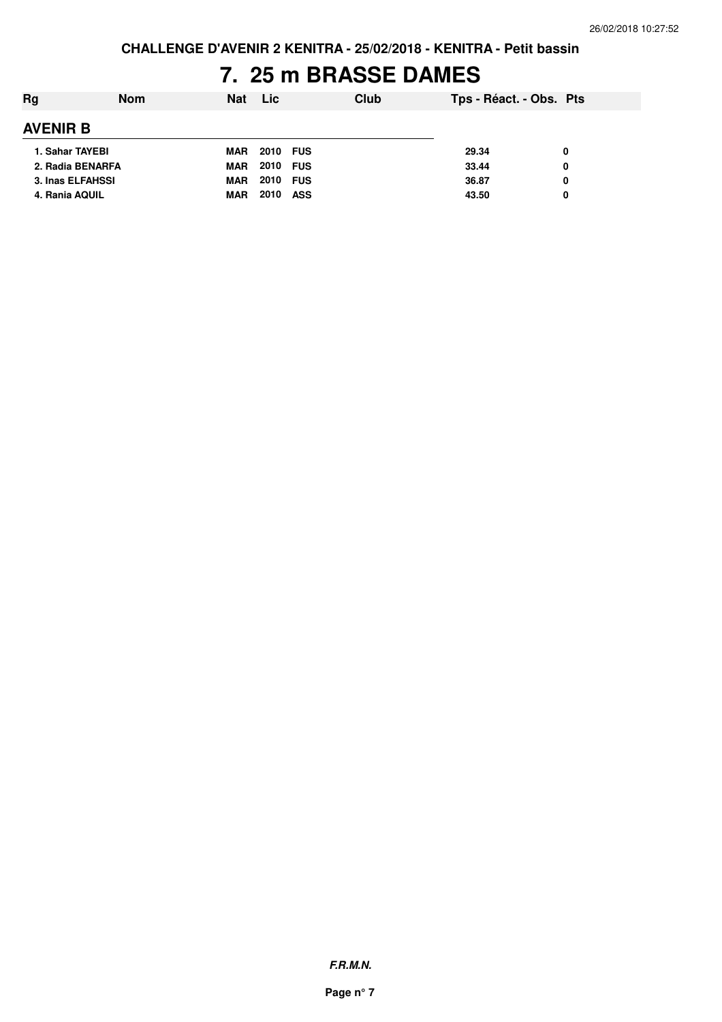**CHALLENGE D'AVENIR 2 KENITRA - 25/02/2018 - KENITRA - Petit bassin**

## **7. 25 m BRASSE DAMES**

| Rg              | <b>Nom</b>       | Nat        | <b>Lic</b>         | Club | Tps - Réact. - Obs. Pts |   |  |
|-----------------|------------------|------------|--------------------|------|-------------------------|---|--|
| <b>AVENIR B</b> |                  |            |                    |      |                         |   |  |
| 1. Sahar TAYEBI |                  | MAR        | 2010 FUS           |      | 29.34                   | 0 |  |
|                 | 2. Radia BENARFA | MAR        | <b>2010 FUS</b>    |      | 33.44                   | 0 |  |
|                 | 3. Inas ELFAHSSI | MAR        | 2010 FUS           |      | 36.87                   | 0 |  |
| 4. Rania AQUIL  |                  | <b>MAR</b> | 2010<br><b>ASS</b> |      | 43.50                   | 0 |  |
|                 |                  |            |                    |      |                         |   |  |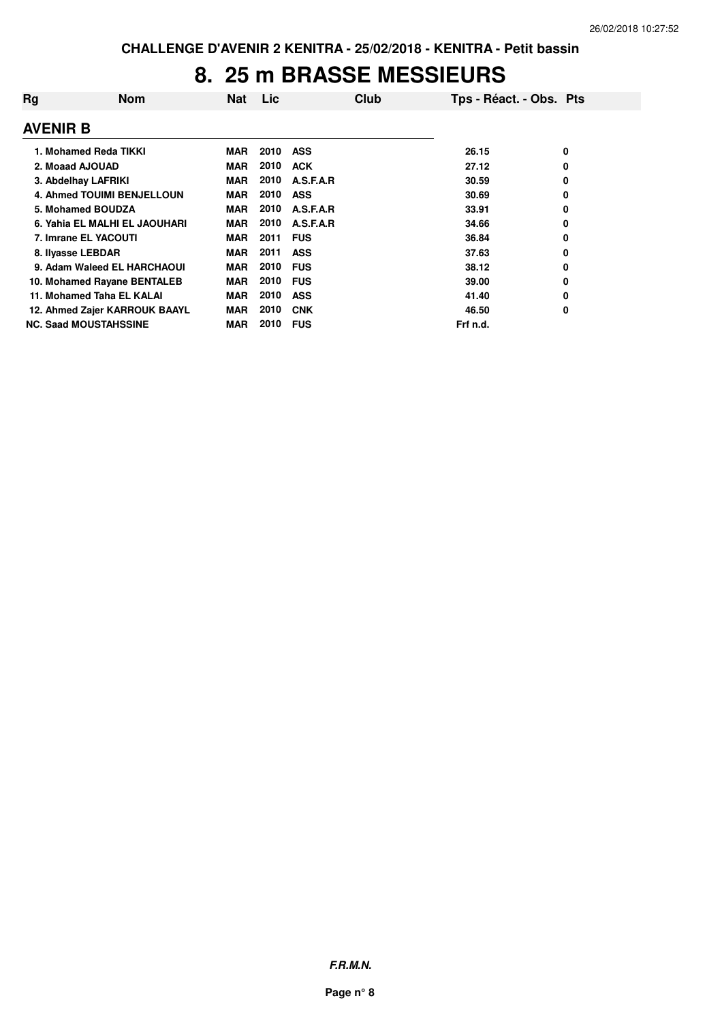### **8. 25 m BRASSE MESSIEURS**

| Rq              | <b>Nom</b>                    | <b>Nat</b> | Lic  | Club       | Tps - Réact. - Obs. Pts |   |
|-----------------|-------------------------------|------------|------|------------|-------------------------|---|
| <b>AVENIR B</b> |                               |            |      |            |                         |   |
|                 | 1. Mohamed Reda TIKKI         | <b>MAR</b> | 2010 | <b>ASS</b> | 26.15                   | 0 |
|                 | 2. Moaad AJOUAD               | <b>MAR</b> | 2010 | <b>ACK</b> | 27.12                   | 0 |
|                 | 3. Abdelhay LAFRIKI           | MAR        | 2010 | A.S.F.A.R  | 30.59                   | 0 |
|                 | 4. Ahmed TOUIMI BENJELLOUN    | MAR        | 2010 | <b>ASS</b> | 30.69                   | 0 |
|                 | 5. Mohamed BOUDZA             | <b>MAR</b> | 2010 | A.S.F.A.R  | 33.91                   | 0 |
|                 | 6. Yahia EL MALHI EL JAOUHARI | MAR        | 2010 | A.S.F.A.R  | 34.66                   | 0 |
|                 | 7. Imrane EL YACOUTI          | <b>MAR</b> | 2011 | <b>FUS</b> | 36.84                   | 0 |
|                 | 8. Ilyasse LEBDAR             | <b>MAR</b> | 2011 | <b>ASS</b> | 37.63                   | 0 |
|                 | 9. Adam Waleed EL HARCHAOUI   | <b>MAR</b> | 2010 | <b>FUS</b> | 38.12                   | 0 |
|                 | 10. Mohamed Rayane BENTALEB   | <b>MAR</b> | 2010 | <b>FUS</b> | 39.00                   | 0 |
|                 | 11. Mohamed Taha EL KALAI     | <b>MAR</b> | 2010 | <b>ASS</b> | 41.40                   | 0 |
|                 | 12. Ahmed Zajer KARROUK BAAYL | <b>MAR</b> | 2010 | <b>CNK</b> | 46.50                   | 0 |
|                 | <b>NC. Saad MOUSTAHSSINE</b>  | <b>MAR</b> | 2010 | <b>FUS</b> | Frf n.d.                |   |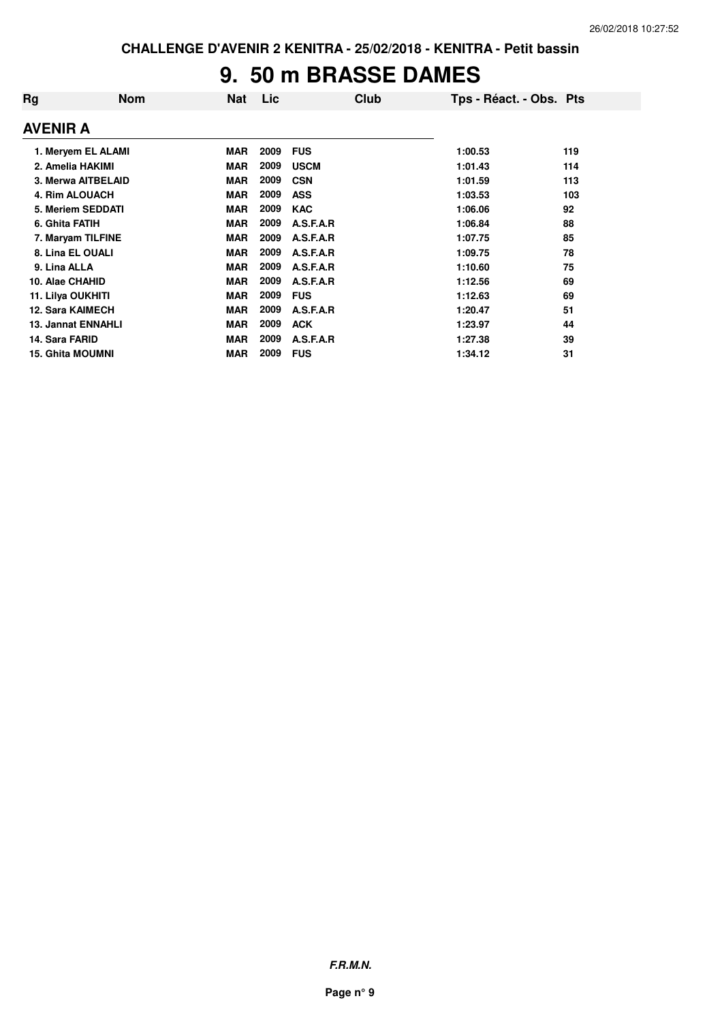### **9. 50 m BRASSE DAMES**

| Rg                        | <b>Nom</b>         | <b>Nat</b> | Lic  | <b>Club</b> | Tps - Réact. - Obs. Pts |     |
|---------------------------|--------------------|------------|------|-------------|-------------------------|-----|
| <b>AVENIR A</b>           |                    |            |      |             |                         |     |
|                           | 1. Meryem EL ALAMI | <b>MAR</b> | 2009 | <b>FUS</b>  | 1:00.53                 | 119 |
| 2. Amelia HAKIMI          |                    | <b>MAR</b> | 2009 | <b>USCM</b> | 1:01.43                 | 114 |
|                           | 3. Merwa AITBELAID | <b>MAR</b> | 2009 | <b>CSN</b>  | 1:01.59                 | 113 |
| 4. Rim ALOUACH            |                    | <b>MAR</b> | 2009 | <b>ASS</b>  | 1:03.53                 | 103 |
|                           | 5. Meriem SEDDATI  | <b>MAR</b> | 2009 | <b>KAC</b>  | 1:06.06                 | 92  |
| 6. Ghita FATIH            |                    | <b>MAR</b> | 2009 | A.S.F.A.R   | 1:06.84                 | 88  |
| 7. Maryam TILFINE         |                    | <b>MAR</b> | 2009 | A.S.F.A.R   | 1:07.75                 | 85  |
| 8. Lina EL OUALI          |                    | <b>MAR</b> | 2009 | A.S.F.A.R   | 1:09.75                 | 78  |
| 9. Lina ALLA              |                    | <b>MAR</b> | 2009 | A.S.F.A.R   | 1:10.60                 | 75  |
| 10. Alae CHAHID           |                    | <b>MAR</b> | 2009 | A.S.F.A.R   | 1:12.56                 | 69  |
| 11. Lilya OUKHITI         |                    | <b>MAR</b> | 2009 | <b>FUS</b>  | 1:12.63                 | 69  |
| <b>12. Sara KAIMECH</b>   |                    | <b>MAR</b> | 2009 | A.S.F.A.R   | 1:20.47                 | 51  |
| <b>13. Jannat ENNAHLI</b> |                    | <b>MAR</b> | 2009 | <b>ACK</b>  | 1:23.97                 | 44  |
| 14. Sara FARID            |                    | <b>MAR</b> | 2009 | A.S.F.A.R   | 1:27.38                 | 39  |
| <b>15. Ghita MOUMNI</b>   |                    | <b>MAR</b> | 2009 | <b>FUS</b>  | 1:34.12                 | 31  |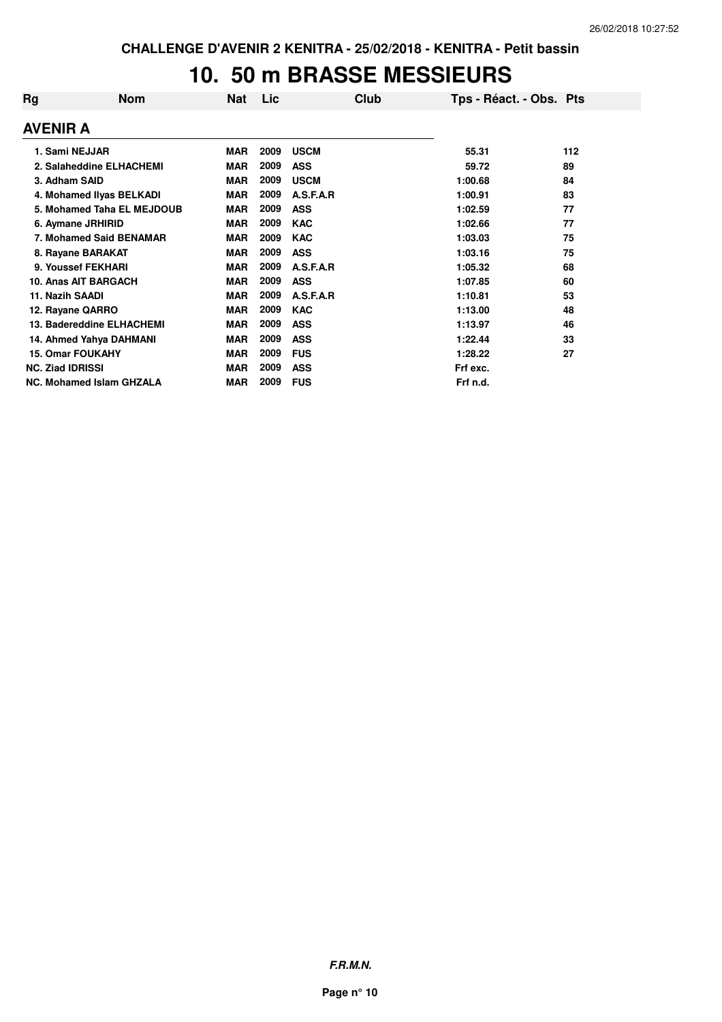#### **10. 50 m BRASSE MESSIEURS**

| Rg | <b>Nom</b>                      | <b>Nat</b> | Lic  | Club        | Tps - Réact. - Obs. Pts |     |
|----|---------------------------------|------------|------|-------------|-------------------------|-----|
|    | <b>AVENIR A</b>                 |            |      |             |                         |     |
|    | 1. Sami NEJJAR                  | <b>MAR</b> | 2009 | <b>USCM</b> | 55.31                   | 112 |
|    | 2. Salaheddine ELHACHEMI        | <b>MAR</b> | 2009 | <b>ASS</b>  | 59.72                   | 89  |
|    | 3. Adham SAID                   | <b>MAR</b> | 2009 | <b>USCM</b> | 1:00.68                 | 84  |
|    | 4. Mohamed Ilyas BELKADI        | <b>MAR</b> | 2009 | A.S.F.A.R   | 1:00.91                 | 83  |
|    | 5. Mohamed Taha EL MEJDOUB      | <b>MAR</b> | 2009 | <b>ASS</b>  | 1:02.59                 | 77  |
|    | 6. Aymane JRHIRID               | <b>MAR</b> | 2009 | <b>KAC</b>  | 1:02.66                 | 77  |
|    | 7. Mohamed Said BENAMAR         | <b>MAR</b> | 2009 | <b>KAC</b>  | 1:03.03                 | 75  |
|    | 8. Rayane BARAKAT               | <b>MAR</b> | 2009 | <b>ASS</b>  | 1:03.16                 | 75  |
|    | 9. Youssef FEKHARI              | <b>MAR</b> | 2009 | A.S.F.A.R   | 1:05.32                 | 68  |
|    | 10. Anas AIT BARGACH            | <b>MAR</b> | 2009 | <b>ASS</b>  | 1:07.85                 | 60  |
|    | 11. Nazih SAADI                 | <b>MAR</b> | 2009 | A.S.F.A.R   | 1:10.81                 | 53  |
|    | 12. Rayane QARRO                | <b>MAR</b> | 2009 | <b>KAC</b>  | 1:13.00                 | 48  |
|    | 13. Badereddine ELHACHEMI       | <b>MAR</b> | 2009 | <b>ASS</b>  | 1:13.97                 | 46  |
|    | 14. Ahmed Yahya DAHMANI         | <b>MAR</b> | 2009 | <b>ASS</b>  | 1:22.44                 | 33  |
|    | <b>15. Omar FOUKAHY</b>         | <b>MAR</b> | 2009 | <b>FUS</b>  | 1:28.22                 | 27  |
|    | <b>NC. Ziad IDRISSI</b>         | <b>MAR</b> | 2009 | <b>ASS</b>  | Frf exc.                |     |
|    | <b>NC. Mohamed Islam GHZALA</b> | <b>MAR</b> | 2009 | <b>FUS</b>  | Frf n.d.                |     |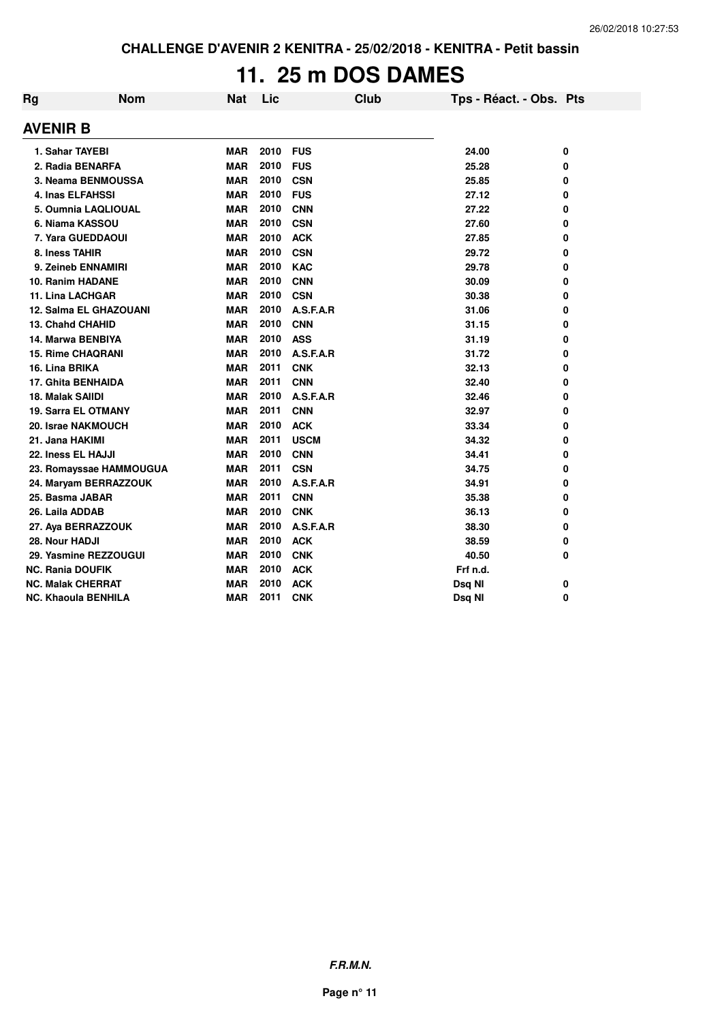# **11. 25 m DOS DAMES**

| Rg               | <b>Nom</b>                 | <b>Nat</b> | Lic  | <b>Club</b> | Tps - Réact. - Obs. Pts |   |
|------------------|----------------------------|------------|------|-------------|-------------------------|---|
| AVENIR B         |                            |            |      |             |                         |   |
|                  | 1. Sahar TAYEBI            | <b>MAR</b> | 2010 | <b>FUS</b>  | 24.00                   | 0 |
|                  | 2. Radia BENARFA           | <b>MAR</b> | 2010 | <b>FUS</b>  | 25.28                   | 0 |
|                  | 3. Neama BENMOUSSA         | <b>MAR</b> | 2010 | <b>CSN</b>  | 25.85                   | 0 |
|                  | <b>4. Inas ELFAHSSI</b>    | <b>MAR</b> | 2010 | <b>FUS</b>  | 27.12                   | 0 |
|                  | 5. Oumnia LAQLIOUAL        | <b>MAR</b> | 2010 | <b>CNN</b>  | 27.22                   | 0 |
|                  | 6. Niama KASSOU            | <b>MAR</b> | 2010 | <b>CSN</b>  | 27.60                   | 0 |
|                  | 7. Yara GUEDDAOUI          | <b>MAR</b> | 2010 | <b>ACK</b>  | 27.85                   | 0 |
| 8. Iness TAHIR   |                            | <b>MAR</b> | 2010 | <b>CSN</b>  | 29.72                   | 0 |
|                  | 9. Zeineb ENNAMIRI         | <b>MAR</b> | 2010 | <b>KAC</b>  | 29.78                   | 0 |
|                  | 10. Ranim HADANE           | <b>MAR</b> | 2010 | <b>CNN</b>  | 30.09                   | 0 |
|                  | <b>11. Lina LACHGAR</b>    | <b>MAR</b> | 2010 | <b>CSN</b>  | 30.38                   | 0 |
|                  | 12. Salma EL GHAZOUANI     | <b>MAR</b> | 2010 | A.S.F.A.R   | 31.06                   | 0 |
|                  | <b>13. Chahd CHAHID</b>    | <b>MAR</b> | 2010 | <b>CNN</b>  | 31.15                   | 0 |
|                  | 14. Marwa BENBIYA          | <b>MAR</b> | 2010 | <b>ASS</b>  | 31.19                   | 0 |
|                  | <b>15. Rime CHAQRANI</b>   | <b>MAR</b> | 2010 | A.S.F.A.R   | 31.72                   | 0 |
| 16. Lina BRIKA   |                            | <b>MAR</b> | 2011 | <b>CNK</b>  | 32.13                   | 0 |
|                  | <b>17. Ghita BENHAIDA</b>  | <b>MAR</b> | 2011 | <b>CNN</b>  | 32.40                   | 0 |
| 18. Malak SAIIDI |                            | <b>MAR</b> | 2010 | A.S.F.A.R   | 32.46                   | 0 |
|                  | <b>19. Sarra EL OTMANY</b> | <b>MAR</b> | 2011 | <b>CNN</b>  | 32.97                   | 0 |
|                  | 20. Israe NAKMOUCH         | <b>MAR</b> | 2010 | <b>ACK</b>  | 33.34                   | 0 |
| 21. Jana HAKIMI  |                            | <b>MAR</b> | 2011 | <b>USCM</b> | 34.32                   | 0 |
|                  | 22. Iness EL HAJJI         | <b>MAR</b> | 2010 | <b>CNN</b>  | 34.41                   | 0 |
|                  | 23. Romayssae HAMMOUGUA    | <b>MAR</b> | 2011 | <b>CSN</b>  | 34.75                   | 0 |
|                  | 24. Maryam BERRAZZOUK      | <b>MAR</b> | 2010 | A.S.F.A.R   | 34.91                   | 0 |
|                  | 25. Basma JABAR            | <b>MAR</b> | 2011 | <b>CNN</b>  | 35.38                   | 0 |
| 26. Laila ADDAB  |                            | <b>MAR</b> | 2010 | <b>CNK</b>  | 36.13                   | 0 |
|                  | 27. Aya BERRAZZOUK         | <b>MAR</b> | 2010 | A.S.F.A.R   | 38.30                   | 0 |
| 28. Nour HADJI   |                            | <b>MAR</b> | 2010 | <b>ACK</b>  | 38.59                   | 0 |
|                  | 29. Yasmine REZZOUGUI      | <b>MAR</b> | 2010 | <b>CNK</b>  | 40.50                   | 0 |
|                  | <b>NC. Rania DOUFIK</b>    | <b>MAR</b> | 2010 | <b>ACK</b>  | Frf n.d.                |   |
|                  | <b>NC. Malak CHERRAT</b>   | <b>MAR</b> | 2010 | <b>ACK</b>  | Dsq NI                  | 0 |
|                  | <b>NC. Khaoula BENHILA</b> | <b>MAR</b> | 2011 | <b>CNK</b>  | Dsq NI                  | 0 |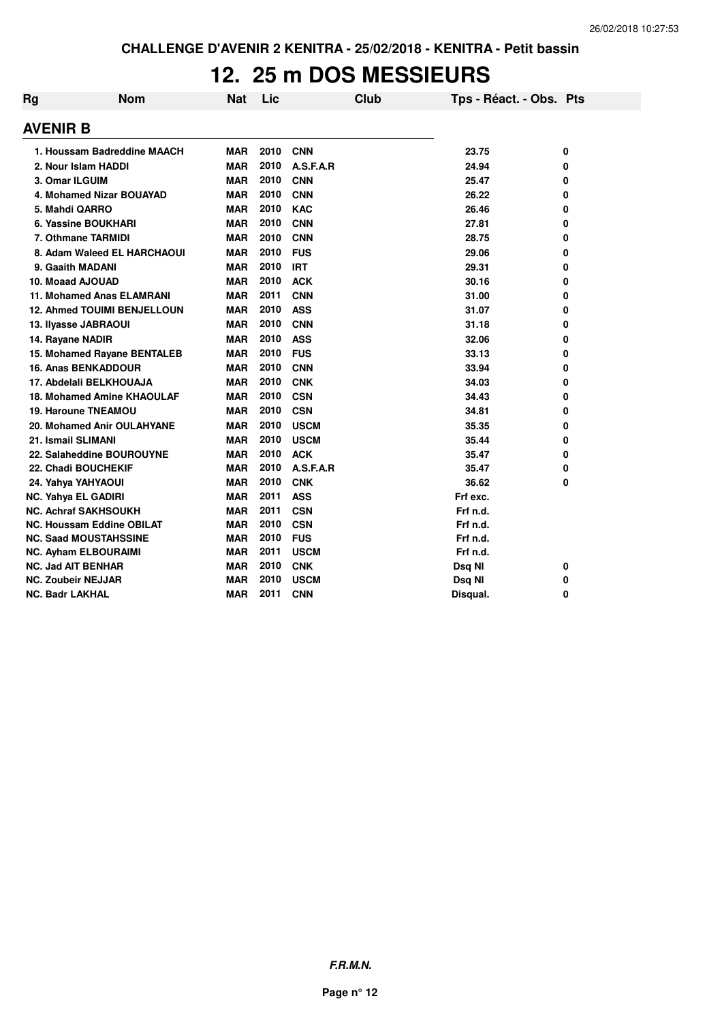### **12. 25 m DOS MESSIEURS**

| Rg              | <b>Nom</b>                        | <b>Nat</b> | Lic  | Club        | Tps - Réact. - Obs. Pts |   |
|-----------------|-----------------------------------|------------|------|-------------|-------------------------|---|
| AVENIR B        |                                   |            |      |             |                         |   |
|                 | 1. Houssam Badreddine MAACH       | <b>MAR</b> | 2010 | <b>CNN</b>  | 23.75                   | 0 |
|                 | 2. Nour Islam HADDI               | <b>MAR</b> | 2010 | A.S.F.A.R   | 24.94                   | 0 |
|                 | 3. Omar ILGUIM                    | <b>MAR</b> | 2010 | <b>CNN</b>  | 25.47                   | 0 |
|                 | 4. Mohamed Nizar BOUAYAD          | <b>MAR</b> | 2010 | <b>CNN</b>  | 26.22                   | 0 |
|                 | 5. Mahdi QARRO                    | <b>MAR</b> | 2010 | <b>KAC</b>  | 26.46                   | 0 |
|                 | 6. Yassine BOUKHARI               | <b>MAR</b> | 2010 | <b>CNN</b>  | 27.81                   | 0 |
|                 | 7. Othmane TARMIDI                | <b>MAR</b> | 2010 | <b>CNN</b>  | 28.75                   | 0 |
|                 | 8. Adam Waleed EL HARCHAOUI       | <b>MAR</b> | 2010 | <b>FUS</b>  | 29.06                   | 0 |
|                 | 9. Gaaith MADANI                  | <b>MAR</b> | 2010 | <b>IRT</b>  | 29.31                   | 0 |
|                 | 10. Moaad AJOUAD                  | <b>MAR</b> | 2010 | <b>ACK</b>  | 30.16                   | 0 |
|                 | 11. Mohamed Anas ELAMRANI         | <b>MAR</b> | 2011 | <b>CNN</b>  | 31.00                   | 0 |
|                 | 12. Ahmed TOUIMI BENJELLOUN       | <b>MAR</b> | 2010 | <b>ASS</b>  | 31.07                   | 0 |
|                 | 13. Ilyasse JABRAOUI              | <b>MAR</b> | 2010 | <b>CNN</b>  | 31.18                   | 0 |
|                 | 14. Rayane NADIR                  | <b>MAR</b> | 2010 | <b>ASS</b>  | 32.06                   | 0 |
|                 | 15. Mohamed Rayane BENTALEB       | <b>MAR</b> | 2010 | <b>FUS</b>  | 33.13                   | 0 |
|                 | <b>16. Anas BENKADDOUR</b>        | <b>MAR</b> | 2010 | <b>CNN</b>  | 33.94                   | 0 |
|                 | 17. Abdelali BELKHOUAJA           | <b>MAR</b> | 2010 | <b>CNK</b>  | 34.03                   | 0 |
|                 | 18. Mohamed Amine KHAOULAF        | <b>MAR</b> | 2010 | <b>CSN</b>  | 34.43                   | 0 |
|                 | <b>19. Haroune TNEAMOU</b>        | <b>MAR</b> | 2010 | <b>CSN</b>  | 34.81                   | 0 |
|                 | <b>20. Mohamed Anir OULAHYANE</b> | <b>MAR</b> | 2010 | <b>USCM</b> | 35.35                   | 0 |
|                 | 21. Ismail SLIMANI                | <b>MAR</b> | 2010 | <b>USCM</b> | 35.44                   | 0 |
|                 | 22. Salaheddine BOUROUYNE         | <b>MAR</b> | 2010 | <b>ACK</b>  | 35.47                   | 0 |
|                 | 22. Chadi BOUCHEKIF               | <b>MAR</b> | 2010 | A.S.F.A.R   | 35.47                   | 0 |
|                 | 24. Yahya YAHYAOUI                | <b>MAR</b> | 2010 | <b>CNK</b>  | 36.62                   | 0 |
|                 | <b>NC. Yahya EL GADIRI</b>        | <b>MAR</b> | 2011 | <b>ASS</b>  | Frf exc.                |   |
|                 | <b>NC. Achraf SAKHSOUKH</b>       | <b>MAR</b> | 2011 | <b>CSN</b>  | Frf n.d.                |   |
|                 | <b>NC. Houssam Eddine OBILAT</b>  | <b>MAR</b> | 2010 | <b>CSN</b>  | Frf n.d.                |   |
|                 | <b>NC. Saad MOUSTAHSSINE</b>      | <b>MAR</b> | 2010 | <b>FUS</b>  | Frf n.d.                |   |
|                 | <b>NC. Ayham ELBOURAIMI</b>       | <b>MAR</b> | 2011 | <b>USCM</b> | Frf n.d.                |   |
|                 | <b>NC. Jad AIT BENHAR</b>         | <b>MAR</b> | 2010 | <b>CNK</b>  | Dsq NI                  | 0 |
|                 | <b>NC. Zoubeir NEJJAR</b>         | <b>MAR</b> | 2010 | <b>USCM</b> | Dsq NI                  | 0 |
| NC. Badr LAKHAL |                                   | <b>MAR</b> | 2011 | <b>CNN</b>  | Disqual.                | 0 |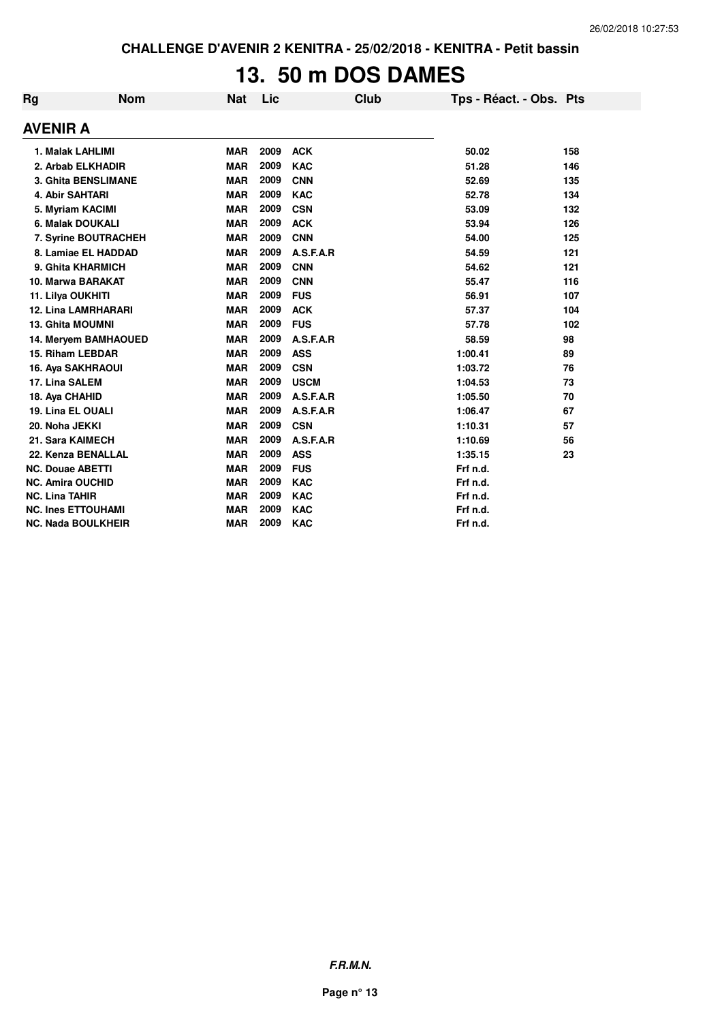# **13. 50 m DOS DAMES**

| Rg                        | <b>Nom</b>                 | Nat        | Lic  | <b>Club</b> | Tps - Réact. - Obs. Pts |     |
|---------------------------|----------------------------|------------|------|-------------|-------------------------|-----|
| <b>AVENIR A</b>           |                            |            |      |             |                         |     |
|                           | 1. Malak LAHLIMI           | <b>MAR</b> | 2009 | <b>ACK</b>  | 50.02                   | 158 |
|                           | 2. Arbab ELKHADIR          | <b>MAR</b> | 2009 | <b>KAC</b>  | 51.28                   | 146 |
|                           | <b>3. Ghita BENSLIMANE</b> | <b>MAR</b> | 2009 | <b>CNN</b>  | 52.69                   | 135 |
|                           | 4. Abir SAHTARI            | <b>MAR</b> | 2009 | <b>KAC</b>  | 52.78                   | 134 |
|                           | 5. Myriam KACIMI           | <b>MAR</b> | 2009 | <b>CSN</b>  | 53.09                   | 132 |
|                           | 6. Malak DOUKALI           | <b>MAR</b> | 2009 | <b>ACK</b>  | 53.94                   | 126 |
| 7. Syrine BOUTRACHEH      |                            | <b>MAR</b> | 2009 | <b>CNN</b>  | 54.00                   | 125 |
|                           | 8. Lamiae EL HADDAD        | <b>MAR</b> | 2009 | A.S.F.A.R   | 54.59                   | 121 |
|                           | 9. Ghita KHARMICH          | <b>MAR</b> | 2009 | <b>CNN</b>  | 54.62                   | 121 |
|                           | 10. Marwa BARAKAT          | <b>MAR</b> | 2009 | <b>CNN</b>  | 55.47                   | 116 |
|                           | 11. Lilya OUKHITI          | <b>MAR</b> | 2009 | <b>FUS</b>  | 56.91                   | 107 |
|                           | <b>12. Lina LAMRHARARI</b> | <b>MAR</b> | 2009 | <b>ACK</b>  | 57.37                   | 104 |
|                           | <b>13. Ghita MOUMNI</b>    | <b>MAR</b> | 2009 | <b>FUS</b>  | 57.78                   | 102 |
|                           | 14. Meryem BAMHAOUED       | <b>MAR</b> | 2009 | A.S.F.A.R   | 58.59                   | 98  |
|                           | 15. Riham LEBDAR           | <b>MAR</b> | 2009 | <b>ASS</b>  | 1:00.41                 | 89  |
|                           | <b>16. Aya SAKHRAOUI</b>   | <b>MAR</b> | 2009 | <b>CSN</b>  | 1:03.72                 | 76  |
|                           | 17. Lina SALEM             | <b>MAR</b> | 2009 | <b>USCM</b> | 1:04.53                 | 73  |
|                           | 18. Aya CHAHID             | <b>MAR</b> | 2009 | A.S.F.A.R   | 1:05.50                 | 70  |
|                           | 19. Lina EL OUALI          | <b>MAR</b> | 2009 | A.S.F.A.R   | 1:06.47                 | 67  |
|                           | 20. Noha JEKKI             | <b>MAR</b> | 2009 | <b>CSN</b>  | 1:10.31                 | 57  |
|                           | 21. Sara KAIMECH           | <b>MAR</b> | 2009 | A.S.F.A.R   | 1:10.69                 | 56  |
|                           | 22. Kenza BENALLAL         | <b>MAR</b> | 2009 | <b>ASS</b>  | 1:35.15                 | 23  |
|                           | <b>NC. Douae ABETTI</b>    | <b>MAR</b> | 2009 | <b>FUS</b>  | Frf n.d.                |     |
| <b>NC. Amira OUCHID</b>   |                            | <b>MAR</b> | 2009 | <b>KAC</b>  | Frf n.d.                |     |
| <b>NC. Lina TAHIR</b>     |                            | <b>MAR</b> | 2009 | <b>KAC</b>  | Frf n.d.                |     |
| <b>NC. Ines ETTOUHAMI</b> |                            | <b>MAR</b> | 2009 | <b>KAC</b>  | Frf n.d.                |     |
| <b>NC. Nada BOULKHEIR</b> |                            | <b>MAR</b> | 2009 | <b>KAC</b>  | Frf n.d.                |     |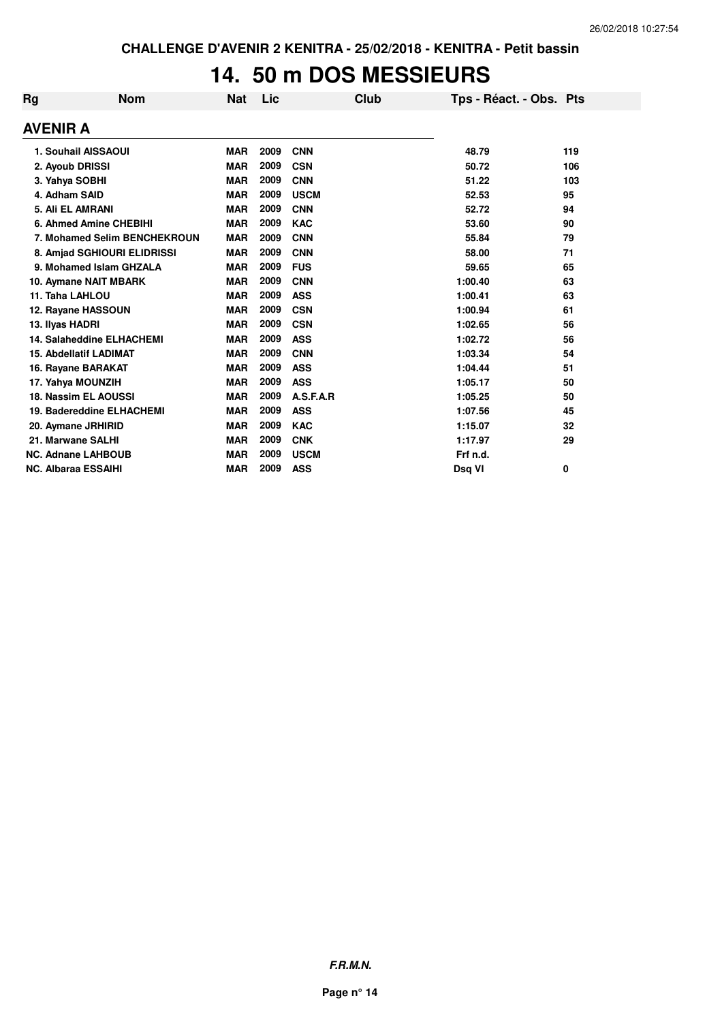## **14. 50 m DOS MESSIEURS**

| Rg                         | <b>Nom</b>                       | <b>Nat</b> | Lic  | Club        | Tps - Réact. - Obs. Pts |     |  |  |  |  |
|----------------------------|----------------------------------|------------|------|-------------|-------------------------|-----|--|--|--|--|
|                            | <b>AVENIR A</b>                  |            |      |             |                         |     |  |  |  |  |
|                            | 1. Souhail AISSAOUI              | <b>MAR</b> | 2009 | <b>CNN</b>  | 48.79                   | 119 |  |  |  |  |
|                            | 2. Ayoub DRISSI                  | <b>MAR</b> | 2009 | <b>CSN</b>  | 50.72                   | 106 |  |  |  |  |
|                            | 3. Yahya SOBHI                   | <b>MAR</b> | 2009 | <b>CNN</b>  | 51.22                   | 103 |  |  |  |  |
|                            | 4. Adham SAID                    | <b>MAR</b> | 2009 | <b>USCM</b> | 52.53                   | 95  |  |  |  |  |
|                            | 5. Ali EL AMRANI                 | <b>MAR</b> | 2009 | <b>CNN</b>  | 52.72                   | 94  |  |  |  |  |
|                            | 6. Ahmed Amine CHEBIHI           | <b>MAR</b> | 2009 | <b>KAC</b>  | 53.60                   | 90  |  |  |  |  |
|                            | 7. Mohamed Selim BENCHEKROUN     | <b>MAR</b> | 2009 | <b>CNN</b>  | 55.84                   | 79  |  |  |  |  |
|                            | 8. Amjad SGHIOURI ELIDRISSI      | <b>MAR</b> | 2009 | <b>CNN</b>  | 58.00                   | 71  |  |  |  |  |
|                            | 9. Mohamed Islam GHZALA          | <b>MAR</b> | 2009 | <b>FUS</b>  | 59.65                   | 65  |  |  |  |  |
|                            | 10. Aymane NAIT MBARK            | <b>MAR</b> | 2009 | <b>CNN</b>  | 1:00.40                 | 63  |  |  |  |  |
|                            | 11. Taha LAHLOU                  | <b>MAR</b> | 2009 | <b>ASS</b>  | 1:00.41                 | 63  |  |  |  |  |
|                            | 12. Rayane HASSOUN               | <b>MAR</b> | 2009 | <b>CSN</b>  | 1:00.94                 | 61  |  |  |  |  |
|                            | 13. Ilyas HADRI                  | <b>MAR</b> | 2009 | <b>CSN</b>  | 1:02.65                 | 56  |  |  |  |  |
|                            | <b>14. Salaheddine ELHACHEMI</b> | <b>MAR</b> | 2009 | <b>ASS</b>  | 1:02.72                 | 56  |  |  |  |  |
|                            | <b>15. Abdellatif LADIMAT</b>    | <b>MAR</b> | 2009 | <b>CNN</b>  | 1:03.34                 | 54  |  |  |  |  |
|                            | 16. Rayane BARAKAT               | <b>MAR</b> | 2009 | <b>ASS</b>  | 1:04.44                 | 51  |  |  |  |  |
|                            | 17. Yahya MOUNZIH                | <b>MAR</b> | 2009 | <b>ASS</b>  | 1:05.17                 | 50  |  |  |  |  |
|                            | 18. Nassim EL AOUSSI             | <b>MAR</b> | 2009 | A.S.F.A.R   | 1:05.25                 | 50  |  |  |  |  |
|                            | 19. Badereddine ELHACHEMI        | <b>MAR</b> | 2009 | <b>ASS</b>  | 1:07.56                 | 45  |  |  |  |  |
|                            | 20. Aymane JRHIRID               | <b>MAR</b> | 2009 | <b>KAC</b>  | 1:15.07                 | 32  |  |  |  |  |
|                            | 21. Marwane SALHI                | <b>MAR</b> | 2009 | <b>CNK</b>  | 1:17.97                 | 29  |  |  |  |  |
| <b>NC. Adnane LAHBOUB</b>  |                                  | <b>MAR</b> | 2009 | <b>USCM</b> | Frf n.d.                |     |  |  |  |  |
| <b>NC. Albaraa ESSAIHI</b> |                                  | <b>MAR</b> | 2009 | <b>ASS</b>  | Dsq VI                  | 0   |  |  |  |  |

**F.R.M.N.**

**Page n° 14**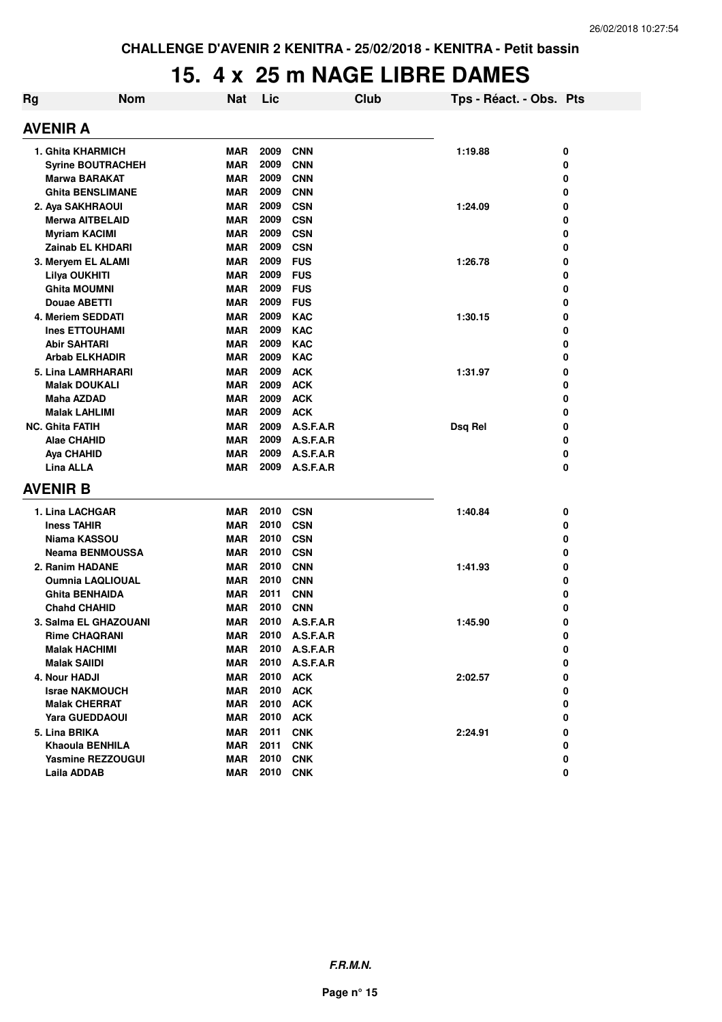#### **15. 4 x 25 m NAGE LIBRE DAMES**

| Rg | <b>Nom</b>               | <b>Nat</b> | Lic      |                | <b>Club</b> | Tps - Réact. - Obs. Pts |   |  |  |
|----|--------------------------|------------|----------|----------------|-------------|-------------------------|---|--|--|
|    | <b>AVENIR A</b>          |            |          |                |             |                         |   |  |  |
|    | 1. Ghita KHARMICH        | MAR        | 2009     | <b>CNN</b>     |             | 1:19.88                 | 0 |  |  |
|    | <b>Syrine BOUTRACHEH</b> | <b>MAR</b> | 2009     | <b>CNN</b>     |             |                         | 0 |  |  |
|    | Marwa BARAKAT            | MAR        | 2009     | <b>CNN</b>     |             |                         | 0 |  |  |
|    | <b>Ghita BENSLIMANE</b>  | MAR        | 2009     | <b>CNN</b>     |             |                         | 0 |  |  |
|    | 2. Aya SAKHRAOUI         | <b>MAR</b> | 2009     | <b>CSN</b>     |             | 1:24.09                 | 0 |  |  |
|    | Merwa AITBELAID          | <b>MAR</b> | 2009     | <b>CSN</b>     |             |                         | 0 |  |  |
|    | <b>Myriam KACIMI</b>     | <b>MAR</b> | 2009     | <b>CSN</b>     |             |                         | 0 |  |  |
|    | Zainab EL KHDARI         | <b>MAR</b> | 2009     | <b>CSN</b>     |             |                         | 0 |  |  |
|    | 3. Meryem EL ALAMI       | <b>MAR</b> | 2009     | <b>FUS</b>     |             | 1:26.78                 | 0 |  |  |
|    | Lilya OUKHITI            | <b>MAR</b> | 2009     | <b>FUS</b>     |             |                         | 0 |  |  |
|    | <b>Ghita MOUMNI</b>      | <b>MAR</b> | 2009     | <b>FUS</b>     |             |                         | 0 |  |  |
|    | <b>Douae ABETTI</b>      | <b>MAR</b> | 2009     | <b>FUS</b>     |             |                         | 0 |  |  |
|    | 4. Meriem SEDDATI        | <b>MAR</b> | 2009     | <b>KAC</b>     |             | 1:30.15                 | 0 |  |  |
|    | <b>Ines ETTOUHAMI</b>    | <b>MAR</b> | 2009     | <b>KAC</b>     |             |                         | 0 |  |  |
|    | <b>Abir SAHTARI</b>      | <b>MAR</b> | 2009     | <b>KAC</b>     |             |                         | 0 |  |  |
|    | <b>Arbab ELKHADIR</b>    | <b>MAR</b> | 2009     | <b>KAC</b>     |             |                         | 0 |  |  |
|    | 5. Lina LAMRHARARI       | <b>MAR</b> | 2009     | <b>ACK</b>     |             | 1:31.97                 | 0 |  |  |
|    | <b>Malak DOUKALI</b>     | <b>MAR</b> | 2009     | <b>ACK</b>     |             |                         | 0 |  |  |
|    | Maha AZDAD               | <b>MAR</b> | 2009     | <b>ACK</b>     |             |                         | 0 |  |  |
|    | <b>Malak LAHLIMI</b>     | <b>MAR</b> | 2009     | <b>ACK</b>     |             |                         | 0 |  |  |
|    | <b>NC. Ghita FATIH</b>   | <b>MAR</b> | 2009     | A.S.F.A.R      |             | Dsq Rel                 | 0 |  |  |
|    | <b>Alae CHAHID</b>       | MAR        | 2009     | A.S.F.A.R      |             |                         | 0 |  |  |
|    | <b>Aya CHAHID</b>        | <b>MAR</b> | 2009     | A.S.F.A.R      |             |                         | 0 |  |  |
|    | <b>Lina ALLA</b>         | <b>MAR</b> | 2009     | A.S.F.A.R      |             |                         | 0 |  |  |
|    | <b>AVENIR B</b>          |            |          |                |             |                         |   |  |  |
|    | 1. Lina LACHGAR          | MAR        | 2010     | <b>CSN</b>     |             | 1:40.84                 | 0 |  |  |
|    | <b>Iness TAHIR</b>       | MAR        | 2010     | <b>CSN</b>     |             |                         | 0 |  |  |
|    | Niama KASSOU             | <b>MAR</b> | 2010     | <b>CSN</b>     |             |                         | 0 |  |  |
|    | <b>Neama BENMOUSSA</b>   | <b>MAR</b> | 2010     | <b>CSN</b>     |             |                         | 0 |  |  |
|    | 2. Ranim HADANE          | <b>MAR</b> | 2010     | <b>CNN</b>     |             | 1:41.93                 | 0 |  |  |
|    | <b>Oumnia LAQLIOUAL</b>  | <b>MAR</b> | 2010     | <b>CNN</b>     |             |                         | 0 |  |  |
|    | <b>Ghita BENHAIDA</b>    | <b>MAR</b> | 2011     | <b>CNN</b>     |             |                         | 0 |  |  |
|    | <b>Chahd CHAHID</b>      | MAR        | 2010     | <b>CNN</b>     |             |                         | 0 |  |  |
|    | 3. Salma EL GHAZOUANI    | MAR        | 2010     | A.S.F.A.R      |             | 1:45.90                 | 0 |  |  |
|    | <b>Rime CHAQRANI</b>     | <b>MAR</b> |          | 2010 A.S.F.A.R |             |                         | 0 |  |  |
|    | <b>Malak HACHIMI</b>     | MAR        |          | 2010 A.S.F.A.R |             |                         | 0 |  |  |
|    | <b>Malak SAIIDI</b>      | MAR        | 2010     | A.S.F.A.R      |             |                         | 0 |  |  |
|    | 4. Nour HADJI            | <b>MAR</b> | 2010     | <b>ACK</b>     |             | 2:02.57                 | 0 |  |  |
|    | <b>Israe NAKMOUCH</b>    | MAR        | 2010     | <b>ACK</b>     |             |                         | 0 |  |  |
|    | <b>Malak CHERRAT</b>     | MAR        | 2010     | <b>ACK</b>     |             |                         | 0 |  |  |
|    | <b>Yara GUEDDAOUI</b>    | MAR        | 2010     | <b>ACK</b>     |             |                         | 0 |  |  |
|    | 5. Lina BRIKA            | MAR        | 2011     | <b>CNK</b>     |             | 2:24.91                 | 0 |  |  |
|    | <b>Khaoula BENHILA</b>   | MAR        | 2011     | <b>CNK</b>     |             |                         | 0 |  |  |
|    | <b>Yasmine REZZOUGUI</b> | MAR        | 2010     | <b>CNK</b>     |             |                         | 0 |  |  |
|    | Laila ADDAB              | MAR        | 2010 CNK |                |             |                         | 0 |  |  |